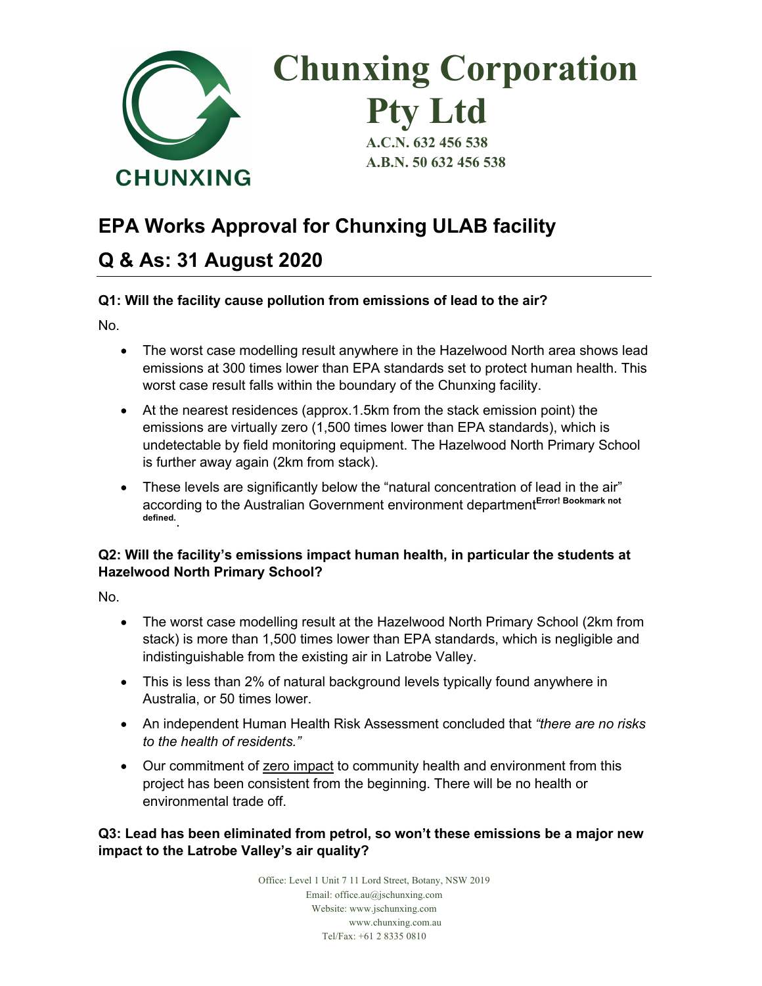

# **EPA Works Approval for Chunxing ULAB facility**

# **Q & As: 31 August 2020**

# **Q1: Will the facility cause pollution from emissions of lead to the air?**

No.

- The worst case modelling result anywhere in the Hazelwood North area shows lead emissions at 300 times lower than EPA standards set to protect human health. This worst case result falls within the boundary of the Chunxing facility.
- At the nearest residences (approx.1.5km from the stack emission point) the emissions are virtually zero (1,500 times lower than EPA standards), which is undetectable by field monitoring equipment. The Hazelwood North Primary School is further away again (2km from stack).
- These levels are significantly below the "natural concentration of lead in the air" according to the Australian Government environment department**Error! Bookmark not defined.**.

# **Q2: Will the facility's emissions impact human health, in particular the students at Hazelwood North Primary School?**

No.

- The worst case modelling result at the Hazelwood North Primary School (2km from stack) is more than 1,500 times lower than EPA standards, which is negligible and indistinguishable from the existing air in Latrobe Valley.
- This is less than 2% of natural background levels typically found anywhere in Australia, or 50 times lower.
- An independent Human Health Risk Assessment concluded that *"there are no risks to the health of residents."*
- Our commitment of zero impact to community health and environment from this project has been consistent from the beginning. There will be no health or environmental trade off.

**Q3: Lead has been eliminated from petrol, so won't these emissions be a major new impact to the Latrobe Valley's air quality?**

> Office: Level 1 Unit 7 11 Lord Street, Botany, NSW 2019 Email: office.au@jschunxing.com Website: www.jschunxing.com www.chunxing.com.au Tel/Fax: +61 2 8335 0810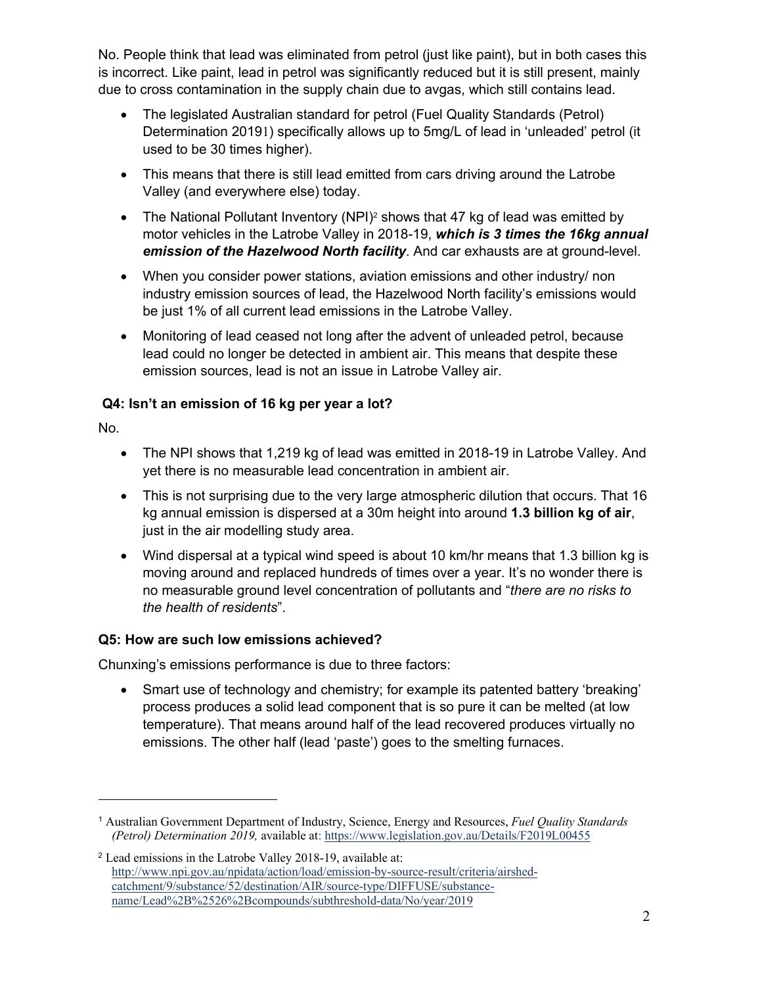No. People think that lead was eliminated from petrol (just like paint), but in both cases this is incorrect. Like paint, lead in petrol was significantly reduced but it is still present, mainly due to cross contamination in the supply chain due to avgas, which still contains lead.

- The legislated Australian standard for petrol (Fuel Quality Standards (Petrol) Determination 20191) specifically allows up to 5mg/L of lead in 'unleaded' petrol (it used to be 30 times higher).
- This means that there is still lead emitted from cars driving around the Latrobe Valley (and everywhere else) today.
- The National Pollutant Inventory (NPI)<sup>2</sup> shows that 47 kg of lead was emitted by motor vehicles in the Latrobe Valley in 2018-19, *which is 3 times the 16kg annual emission of the Hazelwood North facility*. And car exhausts are at ground-level.
- When you consider power stations, aviation emissions and other industry/ non industry emission sources of lead, the Hazelwood North facility's emissions would be just 1% of all current lead emissions in the Latrobe Valley.
- Monitoring of lead ceased not long after the advent of unleaded petrol, because lead could no longer be detected in ambient air. This means that despite these emission sources, lead is not an issue in Latrobe Valley air.

# **Q4: Isn't an emission of 16 kg per year a lot?**

No.

- The NPI shows that 1,219 kg of lead was emitted in 2018-19 in Latrobe Valley. And yet there is no measurable lead concentration in ambient air.
- This is not surprising due to the very large atmospheric dilution that occurs. That 16 kg annual emission is dispersed at a 30m height into around **1.3 billion kg of air**, just in the air modelling study area.
- Wind dispersal at a typical wind speed is about 10 km/hr means that 1.3 billion kg is moving around and replaced hundreds of times over a year. It's no wonder there is no measurable ground level concentration of pollutants and "*there are no risks to the health of residents*".

# **Q5: How are such low emissions achieved?**

Chunxing's emissions performance is due to three factors:

• Smart use of technology and chemistry; for example its patented battery 'breaking' process produces a solid lead component that is so pure it can be melted (at low temperature). That means around half of the lead recovered produces virtually no emissions. The other half (lead 'paste') goes to the smelting furnaces.

<sup>1</sup> Australian Government Department of Industry, Science, Energy and Resources, *Fuel Quality Standards (Petrol) Determination 2019,* available at: https://www.legislation.gov.au/Details/F2019L00455

<sup>2</sup> Lead emissions in the Latrobe Valley 2018-19, available at: http://www.npi.gov.au/npidata/action/load/emission-by-source-result/criteria/airshedcatchment/9/substance/52/destination/AIR/source-type/DIFFUSE/substancename/Lead%2B%2526%2Bcompounds/subthreshold-data/No/year/2019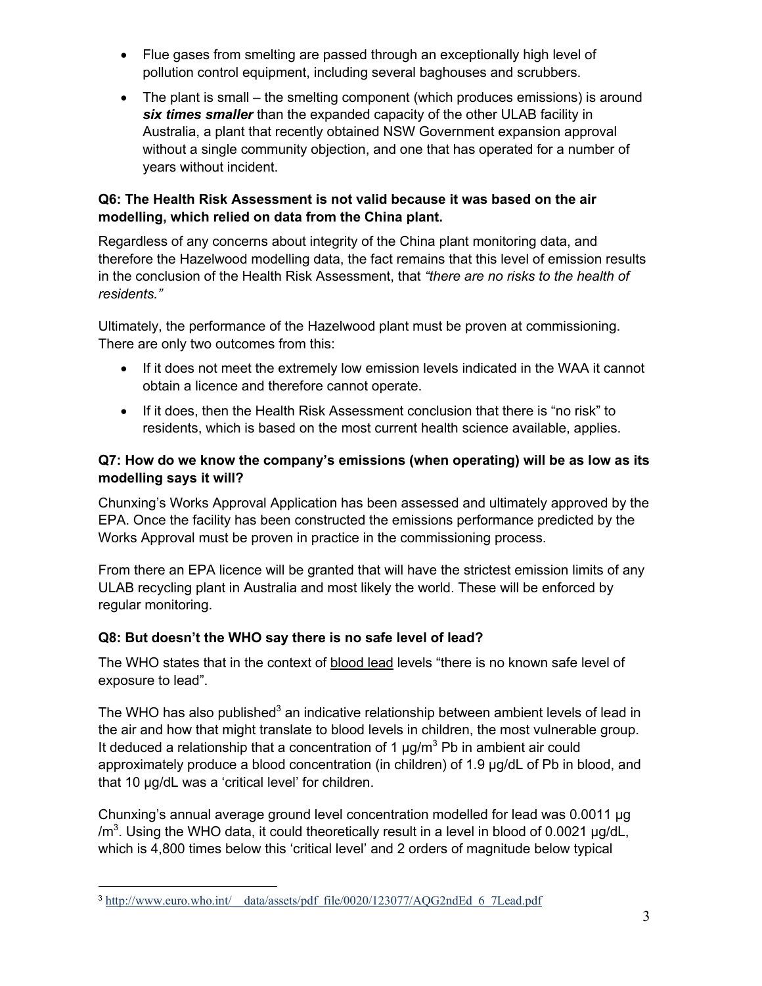- Flue gases from smelting are passed through an exceptionally high level of pollution control equipment, including several baghouses and scrubbers.
- The plant is small the smelting component (which produces emissions) is around *six times smaller* than the expanded capacity of the other ULAB facility in Australia, a plant that recently obtained NSW Government expansion approval without a single community objection, and one that has operated for a number of years without incident.

#### **Q6: The Health Risk Assessment is not valid because it was based on the air modelling, which relied on data from the China plant.**

Regardless of any concerns about integrity of the China plant monitoring data, and therefore the Hazelwood modelling data, the fact remains that this level of emission results in the conclusion of the Health Risk Assessment, that *"there are no risks to the health of residents."*

Ultimately, the performance of the Hazelwood plant must be proven at commissioning. There are only two outcomes from this:

- If it does not meet the extremely low emission levels indicated in the WAA it cannot obtain a licence and therefore cannot operate.
- If it does, then the Health Risk Assessment conclusion that there is "no risk" to residents, which is based on the most current health science available, applies.

### **Q7: How do we know the company's emissions (when operating) will be as low as its modelling says it will?**

Chunxing's Works Approval Application has been assessed and ultimately approved by the EPA. Once the facility has been constructed the emissions performance predicted by the Works Approval must be proven in practice in the commissioning process.

From there an EPA licence will be granted that will have the strictest emission limits of any ULAB recycling plant in Australia and most likely the world. These will be enforced by regular monitoring.

#### **Q8: But doesn't the WHO say there is no safe level of lead?**

The WHO states that in the context of blood lead levels "there is no known safe level of exposure to lead".

The WHO has also published $3$  an indicative relationship between ambient levels of lead in the air and how that might translate to blood levels in children, the most vulnerable group. It deduced a relationship that a concentration of 1  $\mu q/m^3$  Pb in ambient air could approximately produce a blood concentration (in children) of 1.9 µg/dL of Pb in blood, and that 10 µg/dL was a 'critical level' for children.

Chunxing's annual average ground level concentration modelled for lead was 0.0011 µg /m<sup>3</sup>. Using the WHO data, it could theoretically result in a level in blood of 0.0021  $\mu$ g/dL, which is 4,800 times below this 'critical level' and 2 orders of magnitude below typical

<sup>&</sup>lt;sup>3</sup> http://www.euro.who.int/ data/assets/pdf file/0020/123077/AQG2ndEd 6 7Lead.pdf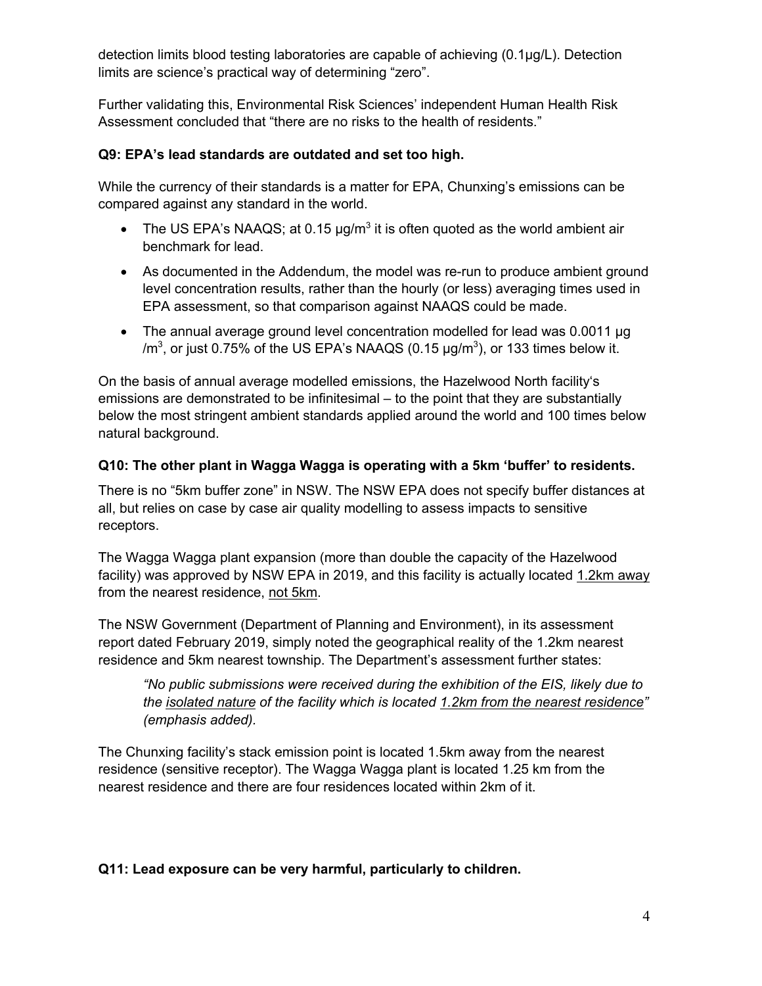detection limits blood testing laboratories are capable of achieving (0.1µg/L). Detection limits are science's practical way of determining "zero".

Further validating this, Environmental Risk Sciences' independent Human Health Risk Assessment concluded that "there are no risks to the health of residents."

#### **Q9: EPA's lead standards are outdated and set too high.**

While the currency of their standards is a matter for EPA, Chunxing's emissions can be compared against any standard in the world.

- The US EPA's NAAQS; at 0.15  $\mu q/m^3$  it is often quoted as the world ambient air benchmark for lead.
- As documented in the Addendum, the model was re-run to produce ambient ground level concentration results, rather than the hourly (or less) averaging times used in EPA assessment, so that comparison against NAAQS could be made.
- The annual average ground level concentration modelled for lead was 0.0011 ug /m $^3$ , or just 0.75% of the US EPA's NAAQS (0.15  $\mu$ g/m $^3$ ), or 133 times below it.

On the basis of annual average modelled emissions, the Hazelwood North facility's emissions are demonstrated to be infinitesimal – to the point that they are substantially below the most stringent ambient standards applied around the world and 100 times below natural background.

#### **Q10: The other plant in Wagga Wagga is operating with a 5km 'buffer' to residents.**

There is no "5km buffer zone" in NSW. The NSW EPA does not specify buffer distances at all, but relies on case by case air quality modelling to assess impacts to sensitive receptors.

The Wagga Wagga plant expansion (more than double the capacity of the Hazelwood facility) was approved by NSW EPA in 2019, and this facility is actually located 1.2km away from the nearest residence, not 5km.

The NSW Government (Department of Planning and Environment), in its assessment report dated February 2019, simply noted the geographical reality of the 1.2km nearest residence and 5km nearest township. The Department's assessment further states:

*"No public submissions were received during the exhibition of the EIS, likely due to the isolated nature of the facility which is located 1.2km from the nearest residence" (emphasis added).*

The Chunxing facility's stack emission point is located 1.5km away from the nearest residence (sensitive receptor). The Wagga Wagga plant is located 1.25 km from the nearest residence and there are four residences located within 2km of it.

#### **Q11: Lead exposure can be very harmful, particularly to children.**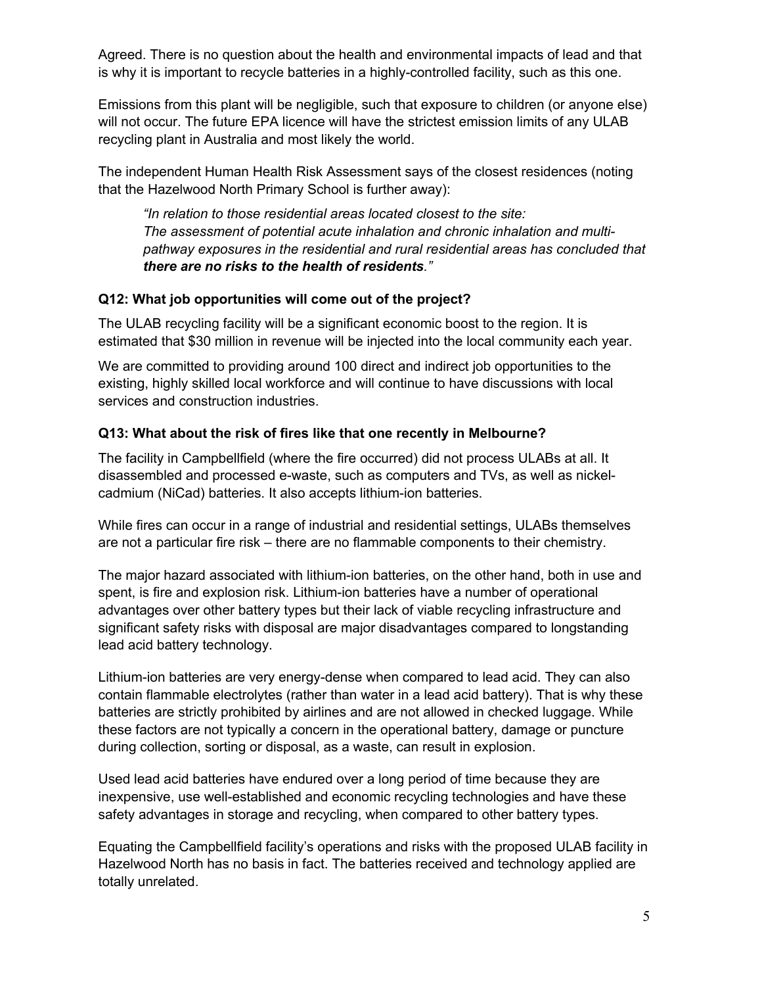Agreed. There is no question about the health and environmental impacts of lead and that is why it is important to recycle batteries in a highly-controlled facility, such as this one.

Emissions from this plant will be negligible, such that exposure to children (or anyone else) will not occur. The future EPA licence will have the strictest emission limits of any ULAB recycling plant in Australia and most likely the world.

The independent Human Health Risk Assessment says of the closest residences (noting that the Hazelwood North Primary School is further away):

*"In relation to those residential areas located closest to the site: The assessment of potential acute inhalation and chronic inhalation and multipathway exposures in the residential and rural residential areas has concluded that there are no risks to the health of residents."*

#### **Q12: What job opportunities will come out of the project?**

The ULAB recycling facility will be a significant economic boost to the region. It is estimated that \$30 million in revenue will be injected into the local community each year.

We are committed to providing around 100 direct and indirect job opportunities to the existing, highly skilled local workforce and will continue to have discussions with local services and construction industries.

#### **Q13: What about the risk of fires like that one recently in Melbourne?**

The facility in Campbellfield (where the fire occurred) did not process ULABs at all. It disassembled and processed e-waste, such as computers and TVs, as well as nickelcadmium (NiCad) batteries. It also accepts lithium-ion batteries.

While fires can occur in a range of industrial and residential settings, ULABs themselves are not a particular fire risk – there are no flammable components to their chemistry.

The major hazard associated with lithium-ion batteries, on the other hand, both in use and spent, is fire and explosion risk. Lithium-ion batteries have a number of operational advantages over other battery types but their lack of viable recycling infrastructure and significant safety risks with disposal are major disadvantages compared to longstanding lead acid battery technology.

Lithium-ion batteries are very energy-dense when compared to lead acid. They can also contain flammable electrolytes (rather than water in a lead acid battery). That is why these batteries are strictly prohibited by airlines and are not allowed in checked luggage. While these factors are not typically a concern in the operational battery, damage or puncture during collection, sorting or disposal, as a waste, can result in explosion.

Used lead acid batteries have endured over a long period of time because they are inexpensive, use well-established and economic recycling technologies and have these safety advantages in storage and recycling, when compared to other battery types.

Equating the Campbellfield facility's operations and risks with the proposed ULAB facility in Hazelwood North has no basis in fact. The batteries received and technology applied are totally unrelated.